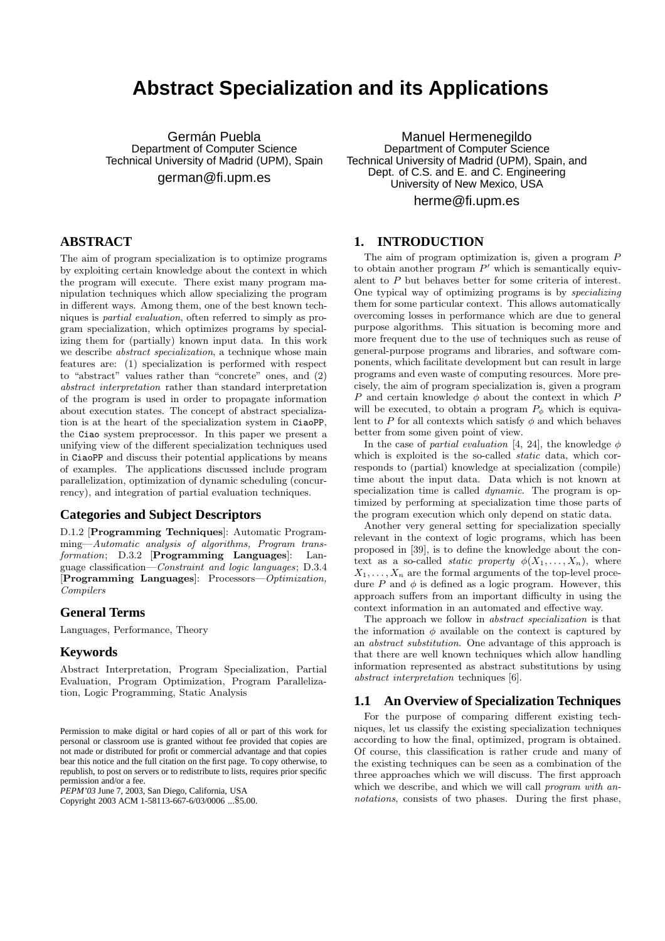# **Abstract Specialization and its Applications**

Germán Puebla Department of Computer Science Technical University of Madrid (UPM), Spain german@fi.upm.es

Manuel Hermenegildo Department of Computer Science Technical University of Madrid (UPM), Spain, and Dept. of C.S. and E. and C. Engineering University of New Mexico, USA

herme@fi.upm.es

# **ABSTRACT**

The aim of program specialization is to optimize programs by exploiting certain knowledge about the context in which the program will execute. There exist many program manipulation techniques which allow specializing the program in different ways. Among them, one of the best known techniques is partial evaluation, often referred to simply as program specialization, which optimizes programs by specializing them for (partially) known input data. In this work we describe *abstract specialization*, a technique whose main features are: (1) specialization is performed with respect to "abstract" values rather than "concrete" ones, and (2) abstract interpretation rather than standard interpretation of the program is used in order to propagate information about execution states. The concept of abstract specialization is at the heart of the specialization system in CiaoPP, the Ciao system preprocessor. In this paper we present a unifying view of the different specialization techniques used in CiaoPP and discuss their potential applications by means of examples. The applications discussed include program parallelization, optimization of dynamic scheduling (concurrency), and integration of partial evaluation techniques.

### **Categories and Subject Descriptors**

D.1.2 [Programming Techniques]: Automatic Programming—Automatic analysis of algorithms, Program transformation; D.3.2 [Programming Languages]: Language classification—Constraint and logic languages; D.3.4 [Programming Languages]: Processors—Optimization, Compilers

### **General Terms**

Languages, Performance, Theory

### **Keywords**

Abstract Interpretation, Program Specialization, Partial Evaluation, Program Optimization, Program Parallelization, Logic Programming, Static Analysis

*PEPM'03* June 7, 2003, San Diego, California, USA

Copyright 2003 ACM 1-58113-667-6/03/0006 ...\$5.00.

### **1. INTRODUCTION**

The aim of program optimization is, given a program P to obtain another program  $P'$  which is semantically equivalent to  $P$  but behaves better for some criteria of interest. One typical way of optimizing programs is by specializing them for some particular context. This allows automatically overcoming losses in performance which are due to general purpose algorithms. This situation is becoming more and more frequent due to the use of techniques such as reuse of general-purpose programs and libraries, and software components, which facilitate development but can result in large programs and even waste of computing resources. More precisely, the aim of program specialization is, given a program P and certain knowledge  $\phi$  about the context in which P will be executed, to obtain a program  $P_{\phi}$  which is equivalent to P for all contexts which satisfy  $\phi$  and which behaves better from some given point of view.

In the case of *partial evaluation* [4, 24], the knowledge  $\phi$ which is exploited is the so-called *static* data, which corresponds to (partial) knowledge at specialization (compile) time about the input data. Data which is not known at specialization time is called *dynamic*. The program is optimized by performing at specialization time those parts of the program execution which only depend on static data.

Another very general setting for specialization specially relevant in the context of logic programs, which has been proposed in [39], is to define the knowledge about the context as a so-called *static property*  $\phi(X_1, \ldots, X_n)$ , where  $X_1, \ldots, X_n$  are the formal arguments of the top-level procedure P and  $\phi$  is defined as a logic program. However, this approach suffers from an important difficulty in using the context information in an automated and effective way.

The approach we follow in *abstract specialization* is that the information  $\phi$  available on the context is captured by an abstract substitution. One advantage of this approach is that there are well known techniques which allow handling information represented as abstract substitutions by using abstract interpretation techniques [6].

### **1.1 An Overview of Specialization Techniques**

For the purpose of comparing different existing techniques, let us classify the existing specialization techniques according to how the final, optimized, program is obtained. Of course, this classification is rather crude and many of the existing techniques can be seen as a combination of the three approaches which we will discuss. The first approach which we describe, and which we will call *program with an*notations, consists of two phases. During the first phase,

Permission to make digital or hard copies of all or part of this work for personal or classroom use is granted without fee provided that copies are not made or distributed for profit or commercial advantage and that copies bear this notice and the full citation on the first page. To copy otherwise, to republish, to post on servers or to redistribute to lists, requires prior specific permission and/or a fee.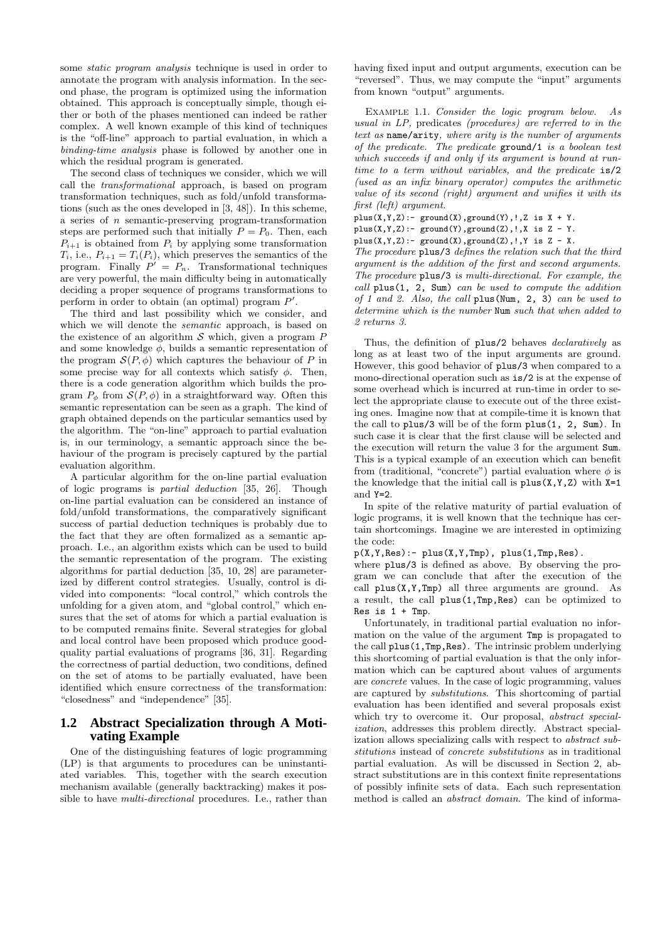some static program analysis technique is used in order to annotate the program with analysis information. In the second phase, the program is optimized using the information obtained. This approach is conceptually simple, though either or both of the phases mentioned can indeed be rather complex. A well known example of this kind of techniques is the "off-line" approach to partial evaluation, in which a binding-time analysis phase is followed by another one in which the residual program is generated.

The second class of techniques we consider, which we will call the transformational approach, is based on program transformation techniques, such as fold/unfold transformations (such as the ones developed in [3, 48]). In this scheme, a series of  $n$  semantic-preserving program-transformation steps are performed such that initially  $P = P_0$ . Then, each  $P_{i+1}$  is obtained from  $P_i$  by applying some transformation  $T_i$ , i.e.,  $P_{i+1} = T_i(P_i)$ , which preserves the semantics of the program. Finally  $P' = P_n$ . Transformational techniques are very powerful, the main difficulty being in automatically deciding a proper sequence of programs transformations to perform in order to obtain (an optimal) program  $P'$ .

The third and last possibility which we consider, and which we will denote the *semantic* approach, is based on the existence of an algorithm  $S$  which, given a program  $P$ and some knowledge  $\phi$ , builds a semantic representation of the program  $S(P, \phi)$  which captures the behaviour of P in some precise way for all contexts which satisfy  $\phi$ . Then, there is a code generation algorithm which builds the program  $P_{\phi}$  from  $\mathcal{S}(P,\phi)$  in a straightforward way. Often this semantic representation can be seen as a graph. The kind of graph obtained depends on the particular semantics used by the algorithm. The "on-line" approach to partial evaluation is, in our terminology, a semantic approach since the behaviour of the program is precisely captured by the partial evaluation algorithm.

A particular algorithm for the on-line partial evaluation of logic programs is partial deduction [35, 26]. Though on-line partial evaluation can be considered an instance of fold/unfold transformations, the comparatively significant success of partial deduction techniques is probably due to the fact that they are often formalized as a semantic approach. I.e., an algorithm exists which can be used to build the semantic representation of the program. The existing algorithms for partial deduction [35, 10, 28] are parameterized by different control strategies. Usually, control is divided into components: "local control," which controls the unfolding for a given atom, and "global control," which ensures that the set of atoms for which a partial evaluation is to be computed remains finite. Several strategies for global and local control have been proposed which produce goodquality partial evaluations of programs [36, 31]. Regarding the correctness of partial deduction, two conditions, defined on the set of atoms to be partially evaluated, have been identified which ensure correctness of the transformation: "closedness" and "independence" [35].

# **1.2 Abstract Specialization through A Motivating Example**

One of the distinguishing features of logic programming (LP) is that arguments to procedures can be uninstantiated variables. This, together with the search execution mechanism available (generally backtracking) makes it possible to have multi-directional procedures. I.e., rather than having fixed input and output arguments, execution can be "reversed". Thus, we may compute the "input" arguments from known "output" arguments.

EXAMPLE 1.1. Consider the logic program below. As usual in LP, predicates (procedures) are referred to in the text as name/arity, where arity is the number of arguments of the predicate. The predicate ground/1 is a boolean test which succeeds if and only if its argument is bound at runtime to a term without variables, and the predicate is/2 (used as an infix binary operator) computes the arithmetic value of its second (right) argument and unifies it with its first (left) argument.

 $plus(X,Y,Z):=ground(X),ground(Y),!,Z$  is  $X + Y$ .

 $plus(X,Y,Z):=ground(Y),ground(Z), !, X is Z - Y.$ 

 $plus(X,Y,Z):=ground(X),ground(Z),!/$  is  $Z - X$ .

The procedure plus/3 defines the relation such that the third argument is the addition of the first and second arguments. The procedure plus/3 is multi-directional. For example, the  $call$   $plus(1, 2, Sum)$  can be used to compute the addition of 1 and 2. Also, the call plus(Num, 2, 3) can be used to determine which is the number Num such that when added to 2 returns 3.

Thus, the definition of plus/2 behaves declaratively as long as at least two of the input arguments are ground. However, this good behavior of plus/3 when compared to a mono-directional operation such as is/2 is at the expense of some overhead which is incurred at run-time in order to select the appropriate clause to execute out of the three existing ones. Imagine now that at compile-time it is known that the call to plus/3 will be of the form plus(1, 2, Sum). In such case it is clear that the first clause will be selected and the execution will return the value 3 for the argument Sum. This is a typical example of an execution which can benefit from (traditional, "concrete") partial evaluation where  $\phi$  is the knowledge that the initial call is  $plus(X, Y, Z)$  with  $X=1$ and Y=2.

In spite of the relative maturity of partial evaluation of logic programs, it is well known that the technique has certain shortcomings. Imagine we are interested in optimizing the code:

 $p(X, Y, Res) := plus(X, Y, Tmp), plus(1, Tmp, Res).$ 

where plus/3 is defined as above. By observing the program we can conclude that after the execution of the call  $plus(X, Y, Tmp)$  all three arguments are ground. As a result, the call plus(1,Tmp,Res) can be optimized to Res is  $1 + Tmp$ .

Unfortunately, in traditional partial evaluation no information on the value of the argument Tmp is propagated to the call plus(1,Tmp,Res). The intrinsic problem underlying this shortcoming of partial evaluation is that the only information which can be captured about values of arguments are concrete values. In the case of logic programming, values are captured by substitutions. This shortcoming of partial evaluation has been identified and several proposals exist which try to overcome it. Our proposal, abstract specialization, addresses this problem directly. Abstract specialization allows specializing calls with respect to abstract substitutions instead of concrete substitutions as in traditional partial evaluation. As will be discussed in Section 2, abstract substitutions are in this context finite representations of possibly infinite sets of data. Each such representation method is called an abstract domain. The kind of informa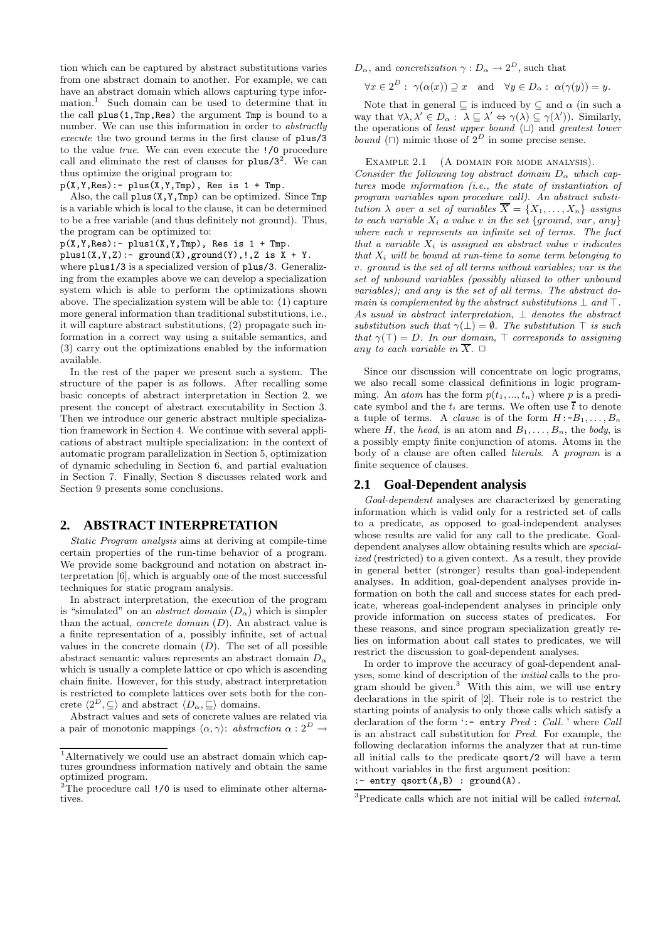tion which can be captured by abstract substitutions varies from one abstract domain to another. For example, we can have an abstract domain which allows capturing type information.<sup>1</sup> Such domain can be used to determine that in the call plus(1,Tmp,Res) the argument Tmp is bound to a number. We can use this information in order to abstractly execute the two ground terms in the first clause of plus/3 to the value true. We can even execute the !/0 procedure call and eliminate the rest of clauses for  $plus/3^2$ . We can thus optimize the original program to:

 $p(X, Y, Res) := plus(X, Y, Tmp)$ , Res is  $1 + Tmp$ .

Also, the call  $plus(X, Y, Tmp)$  can be optimized. Since  $Tmp$ is a variable which is local to the clause, it can be determined to be a free variable (and thus definitely not ground). Thus, the program can be optimized to:

 $p(X, Y, Res) := plus1(X, Y, Tmp)$ , Res is  $1 + Tmp$ .

 $plus1(X,Y,Z):=$  ground(X), ground(Y), !, Z is  $X + Y$ .

where plus1/3 is a specialized version of plus/3. Generalizing from the examples above we can develop a specialization system which is able to perform the optimizations shown above. The specialization system will be able to: (1) capture more general information than traditional substitutions, i.e., it will capture abstract substitutions, (2) propagate such information in a correct way using a suitable semantics, and (3) carry out the optimizations enabled by the information available.

In the rest of the paper we present such a system. The structure of the paper is as follows. After recalling some basic concepts of abstract interpretation in Section 2, we present the concept of abstract executability in Section 3. Then we introduce our generic abstract multiple specialization framework in Section 4. We continue with several applications of abstract multiple specialization: in the context of automatic program parallelization in Section 5, optimization of dynamic scheduling in Section 6, and partial evaluation in Section 7. Finally, Section 8 discusses related work and Section 9 presents some conclusions.

### **2. ABSTRACT INTERPRETATION**

Static Program analysis aims at deriving at compile-time certain properties of the run-time behavior of a program. We provide some background and notation on abstract interpretation [6], which is arguably one of the most successful techniques for static program analysis.

In abstract interpretation, the execution of the program is "simulated" on an *abstract domain*  $(D_{\alpha})$  which is simpler than the actual, *concrete domain*  $(D)$ . An abstract value is a finite representation of a, possibly infinite, set of actual values in the concrete domain  $(D)$ . The set of all possible abstract semantic values represents an abstract domain  $D_{\alpha}$ which is usually a complete lattice or cpo which is ascending chain finite. However, for this study, abstract interpretation is restricted to complete lattices over sets both for the concrete  $\langle 2^D, \subseteq \rangle$  and abstract  $\langle D_\alpha, \sqsubseteq \rangle$  domains.

Abstract values and sets of concrete values are related via a pair of monotonic mappings  $\langle \alpha, \gamma \rangle$ : abstraction  $\alpha : 2^D \rightarrow$ 

 $D_{\alpha}$ , and *concretization*  $\gamma : D_{\alpha} \to 2^D$ , such that

$$
\forall x \in 2^D : \ \gamma(\alpha(x)) \supseteq x \quad \text{and} \quad \forall y \in D_\alpha : \ \alpha(\gamma(y)) = y.
$$

Note that in general  $\sqsubseteq$  is induced by  $\subseteq$  and  $\alpha$  (in such a way that  $\forall \lambda, \lambda' \in D_{\alpha} : \lambda \sqsubseteq \lambda' \Leftrightarrow \gamma(\lambda) \subseteq \gamma(\lambda')$ . Similarly, the operations of least upper bound  $(L)$  and greatest lower *bound* ( $\Box$ ) mimic those of  $2^D$  in some precise sense.

EXAMPLE 2.1 (A DOMAIN FOR MODE ANALYSIS).

Consider the following toy abstract domain  $D_{\alpha}$  which captures mode information (i.e., the state of instantiation of program variables upon procedure call). An abstract substitution  $\lambda$  over a set of variables  $\overline{X} = \{X_1, \ldots, X_n\}$  assigns to each variable  $X_i$  a value v in the set {ground, var, any} where each v represents an infinite set of terms. The fact that a variable  $X_i$  is assigned an abstract value v indicates that  $X_i$  will be bound at run-time to some term belonging to v. ground is the set of all terms without variables; var is the set of unbound variables (possibly aliased to other unbound variables); and any is the set of all terms. The abstract domain is complemented by the abstract substitutions  $\perp$  and  $\top$ . As usual in abstract interpretation,  $\perp$  denotes the abstract substitution such that  $\gamma(\perp) = \emptyset$ . The substitution  $\top$  is such that  $\gamma(\top) = D$ . In our domain,  $\top$  corresponds to assigning any to each variable in  $\overline{X}$ .  $\Box$ 

Since our discussion will concentrate on logic programs, we also recall some classical definitions in logic programming. An *atom* has the form  $p(t_1, ..., t_n)$  where p is a predicate symbol and the  $t_i$  are terms. We often use  $\bar{t}$  to denote a tuple of terms. A *clause* is of the form  $H: -B_1, \ldots, B_n$ where H, the head, is an atom and  $B_1, \ldots, B_n$ , the body, is a possibly empty finite conjunction of atoms. Atoms in the body of a clause are often called *literals*. A *program* is a finite sequence of clauses.

#### **2.1 Goal-Dependent analysis**

Goal-dependent analyses are characterized by generating information which is valid only for a restricted set of calls to a predicate, as opposed to goal-independent analyses whose results are valid for any call to the predicate. Goaldependent analyses allow obtaining results which are specialized (restricted) to a given context. As a result, they provide in general better (stronger) results than goal-independent analyses. In addition, goal-dependent analyses provide information on both the call and success states for each predicate, whereas goal-independent analyses in principle only provide information on success states of predicates. For these reasons, and since program specialization greatly relies on information about call states to predicates, we will restrict the discussion to goal-dependent analyses.

In order to improve the accuracy of goal-dependent analyses, some kind of description of the initial calls to the program should be given.<sup>3</sup> With this aim, we will use entry declarations in the spirit of [2]. Their role is to restrict the starting points of analysis to only those calls which satisfy a declaration of the form ':- entry Pred : Call. ' where Call is an abstract call substitution for Pred. For example, the following declaration informs the analyzer that at run-time all initial calls to the predicate qsort/2 will have a term without variables in the first argument position: :- entry  $qsort(A, B)$  :  $ground(A)$ .

<sup>&</sup>lt;sup>1</sup>Alternatively we could use an abstract domain which captures groundness information natively and obtain the same optimized program.

<sup>&</sup>lt;sup>2</sup>The procedure call  $\frac{1}{10}$  is used to eliminate other alternatives.

 $3$ Predicate calls which are not initial will be called *internal*.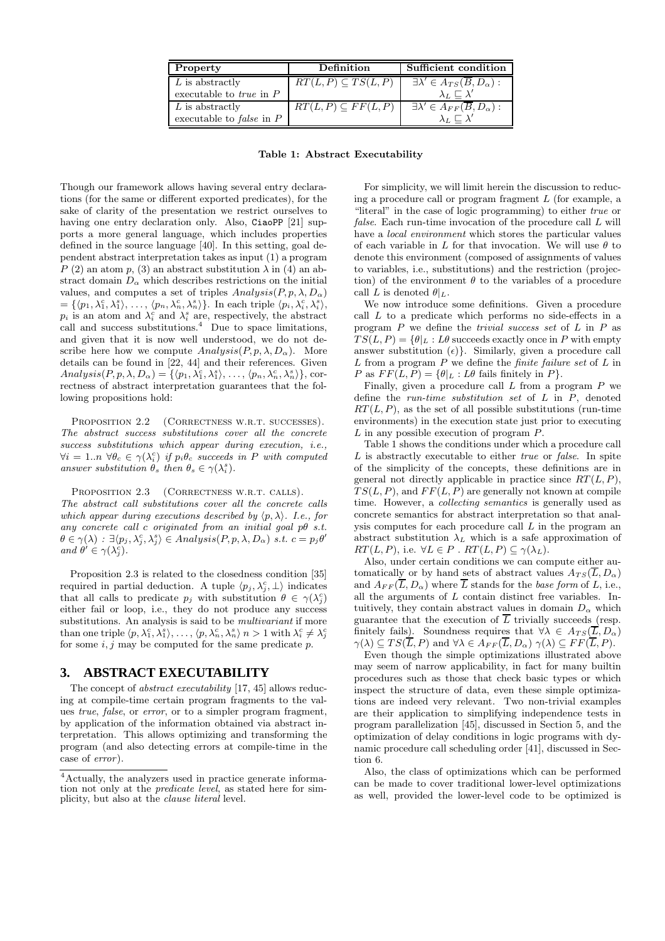| Property                          | Definition                    | Sufficient condition                                     |
|-----------------------------------|-------------------------------|----------------------------------------------------------|
| $L$ is abstractly                 | $RT(L, P) \subseteq TS(L, P)$ | $\exists \lambda' \in A_{TS}(\overline{B}, D_{\alpha}):$ |
| executable to <i>true</i> in $P$  |                               | $\lambda_L \sqsubset \lambda'$                           |
| $L$ is abstractly                 | $RT(L, P) \subseteq FF(L, P)$ | $\exists \lambda' \in A_{FF}(\overline{B}, D_{\alpha}):$ |
| executable to <i>false</i> in $P$ |                               | $\lambda_L\sqsubset\lambda'$                             |

|  |  | Table 1: Abstract Executability |
|--|--|---------------------------------|
|--|--|---------------------------------|

Though our framework allows having several entry declarations (for the same or different exported predicates), for the sake of clarity of the presentation we restrict ourselves to having one entry declaration only. Also, CiaoPP [21] supports a more general language, which includes properties defined in the source language [40]. In this setting, goal dependent abstract interpretation takes as input (1) a program P (2) an atom p, (3) an abstract substitution  $\lambda$  in (4) an abstract domain  $D_{\alpha}$  which describes restrictions on the initial values, and computes a set of triples  $Analysis(P, p, \lambda, D_{\alpha})$  $=\{\langle p_1, \lambda_1^c, \lambda_1^s \rangle, \ldots, \langle p_n, \lambda_n^c, \lambda_n^s \rangle\}.$  In each triple  $\langle p_i, \lambda_i^c, \lambda_i^s \rangle,$  $p_i$  is an atom and  $\lambda_i^c$  and  $\lambda_i^s$  are, respectively, the abstract call and success substitutions. $4$  Due to space limitations, and given that it is now well understood, we do not describe here how we compute  $Analysis(P, p, \lambda, D_{\alpha})$ . More details can be found in [22, 44] and their references. Given  $Analysis(P, p, \lambda, D_{\alpha}) = \{ \langle p_1, \lambda_1^c, \lambda_1^s \rangle, \ldots, \langle p_n, \lambda_n^c, \lambda_n^s \rangle \},$  correctness of abstract interpretation guarantees that the following propositions hold:

PROPOSITION 2.2 (CORRECTNESS W.R.T. SUCCESSES). The abstract success substitutions cover all the concrete success substitutions which appear during execution, i.e.,  $\forall i = 1..n \; \forall \theta_c \in \gamma(\lambda_i^c)$  if  $p_i \theta_c$  succeeds in P with computed answer substitution  $\theta_s$  then  $\theta_s \in \gamma(\lambda_i^s)$ .

PROPOSITION 2.3 (CORRECTNESS W.R.T. CALLS). The abstract call substitutions cover all the concrete calls which appear during executions described by  $\langle p, \lambda \rangle$ . I.e., for any concrete call c originated from an initial goal  $p\theta$  s.t.  $\theta \in \gamma(\lambda) : \exists \langle p_j, \lambda_j^c, \lambda_j^s \rangle \in Analysis(P, p, \lambda, D_\alpha) \text{ s.t. } c = p_j \theta'$ and  $\theta' \in \gamma(\lambda_j^c)$ .

Proposition 2.3 is related to the closedness condition [35] required in partial deduction. A tuple  $\langle p_j, \lambda_j^c, \perp \rangle$  indicates that all calls to predicate  $p_j$  with substitution  $\theta \in \gamma(\lambda_j^c)$ either fail or loop, i.e., they do not produce any success substitutions. An analysis is said to be *multivariant* if more than one triple  $\langle p, \lambda_1^c, \lambda_1^s \rangle, \ldots, \langle p, \lambda_n^c, \lambda_n^s \rangle$   $n > 1$  with  $\lambda_i^c \neq \lambda_j^c$ for some  $i, j$  may be computed for the same predicate  $p$ .

### **3. ABSTRACT EXECUTABILITY**

The concept of abstract executability [17, 45] allows reducing at compile-time certain program fragments to the values true, false, or error, or to a simpler program fragment, by application of the information obtained via abstract interpretation. This allows optimizing and transforming the program (and also detecting errors at compile-time in the case of *error*).

For simplicity, we will limit herein the discussion to reducing a procedure call or program fragment L (for example, a "literal" in the case of logic programming) to either true or false. Each run-time invocation of the procedure call L will have a *local environment* which stores the particular values of each variable in L for that invocation. We will use  $\theta$  to denote this environment (composed of assignments of values to variables, i.e., substitutions) and the restriction (projection) of the environment  $\theta$  to the variables of a procedure call L is denoted  $\theta|_L$ .

We now introduce some definitions. Given a procedure call L to a predicate which performs no side-effects in a program  $P$  we define the *trivial success set* of  $L$  in  $P$  as  $TS(L, P) = {\theta|_L : L\theta$  succeeds exactly once in P with empty answer substitution  $(\epsilon)$ . Similarly, given a procedure call L from a program  $P$  we define the *finite failure set* of  $L$  in P as  $FF(L, P) = {\theta|_L : L\theta \text{ fails finitely in } P}.$ 

Finally, given a procedure call  $L$  from a program  $P$  we define the *run-time substitution set* of  $L$  in  $P$ , denoted  $RT(L, P)$ , as the set of all possible substitutions (run-time environments) in the execution state just prior to executing  $L$  in any possible execution of program  $P$ .

Table 1 shows the conditions under which a procedure call  $L$  is abstractly executable to either *true* or *false*. In spite of the simplicity of the concepts, these definitions are in general not directly applicable in practice since  $RT(L, P)$ ,  $TS(L, P)$ , and  $FF(L, P)$  are generally not known at compile time. However, a *collecting semantics* is generally used as concrete semantics for abstract interpretation so that analysis computes for each procedure call  $L$  in the program and abstract substitution  $\lambda_L$  which is a safe approximation of  $RT(L, P)$ , i.e.  $\forall L \in P$ .  $RT(L, P) \subseteq \gamma(\lambda_L)$ .

Also, under certain conditions we can compute either automatically or by hand sets of abstract values  $A_{TS}(\overline{L}, D_{\alpha})$ and  $A_{FF}(\overline{L}, D_{\alpha})$  where  $\overline{L}$  stands for the *base form* of L, i.e., all the arguments of  $L$  contain distinct free variables. Intuitively, they contain abstract values in domain  $D_{\alpha}$  which guarantee that the execution of  $\overline{L}$  trivially succeeds (resp. finitely fails). Soundness requires that  $\forall \lambda \in A_{TS}(\overline{L}, D_{\alpha})$  $\gamma(\lambda) \subseteq TS(\overline{L}, P)$  and  $\forall \lambda \in A_{FF}(\overline{L}, D_{\alpha})$   $\gamma(\lambda) \subseteq FF(\overline{L}, P)$ .

Even though the simple optimizations illustrated above may seem of narrow applicability, in fact for many builtin procedures such as those that check basic types or which inspect the structure of data, even these simple optimizations are indeed very relevant. Two non-trivial examples are their application to simplifying independence tests in program parallelization [45], discussed in Section 5, and the optimization of delay conditions in logic programs with dynamic procedure call scheduling order [41], discussed in Section 6.

Also, the class of optimizations which can be performed can be made to cover traditional lower-level optimizations as well, provided the lower-level code to be optimized is

<sup>4</sup>Actually, the analyzers used in practice generate information not only at the predicate level, as stated here for simplicity, but also at the clause literal level.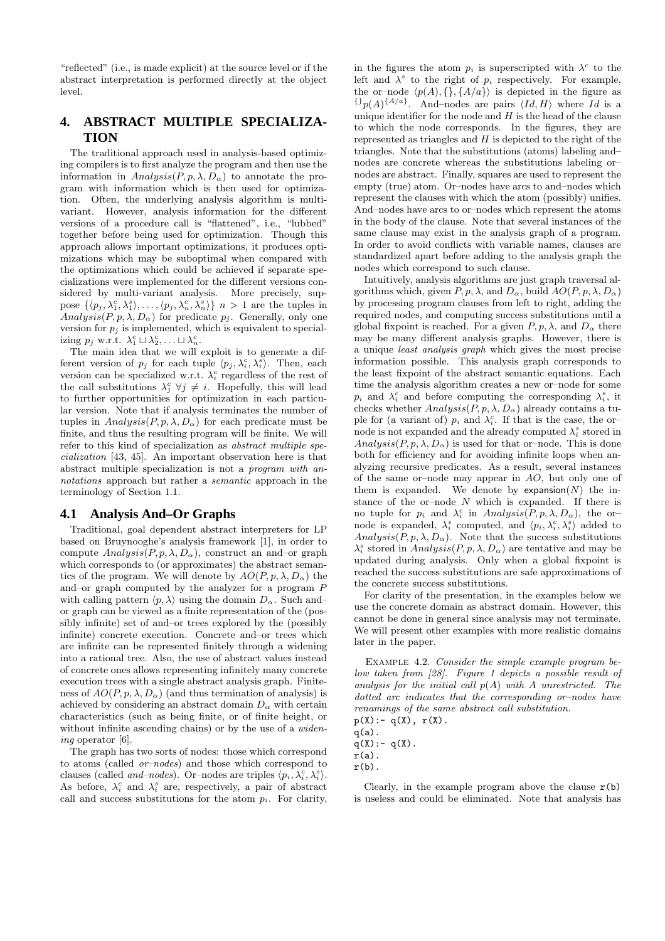"reflected" (i.e., is made explicit) at the source level or if the abstract interpretation is performed directly at the object level.

# **4. ABSTRACT MULTIPLE SPECIALIZA-TION**

The traditional approach used in analysis-based optimizing compilers is to first analyze the program and then use the information in  $Analysis(P, p, \lambda, D_{\alpha})$  to annotate the program with information which is then used for optimization. Often, the underlying analysis algorithm is multivariant. However, analysis information for the different versions of a procedure call is "flattened", i.e., "lubbed" together before being used for optimization. Though this approach allows important optimizations, it produces optimizations which may be suboptimal when compared with the optimizations which could be achieved if separate specializations were implemented for the different versions considered by multi-variant analysis. More precisely, suppose  $\{\langle p_j, \lambda_1^c, \lambda_1^s \rangle, \ldots, \langle p_j, \lambda_n^c, \lambda_n^s \rangle\}$   $n > 1$  are the tuples in Analysis( $P, p, \lambda, D_\alpha$ ) for predicate  $p_i$ . Generally, only one version for  $p_i$  is implemented, which is equivalent to specializing  $p_j$  w.r.t.  $\lambda_1^c \sqcup \lambda_2^c, \ldots \sqcup \lambda_n^c$ .

The main idea that we will exploit is to generate a different version of  $p_j$  for each tuple  $\langle p_j, \lambda_i^c, \lambda_i^s \rangle$ . Then, each version can be specialized w.r.t.  $\lambda_i^c$  regardless of the rest of the call substitutions  $\lambda_j^c \ \forall j \neq i$ . Hopefully, this will lead to further opportunities for optimization in each particular version. Note that if analysis terminates the number of tuples in  $Analysis(P, p, \lambda, D_{\alpha})$  for each predicate must be finite, and thus the resulting program will be finite. We will refer to this kind of specialization as abstract multiple specialization [43, 45]. An important observation here is that abstract multiple specialization is not a program with annotations approach but rather a semantic approach in the terminology of Section 1.1.

#### **4.1 Analysis And–Or Graphs**

Traditional, goal dependent abstract interpreters for LP based on Bruynooghe's analysis framework [1], in order to compute  $Analysis(P, p, \lambda, D_{\alpha})$ , construct an and–or graph which corresponds to (or approximates) the abstract semantics of the program. We will denote by  $AO(P, p, \lambda, D_{\alpha})$  the and–or graph computed by the analyzer for a program P with calling pattern  $\langle p, \lambda \rangle$  using the domain  $D_{\alpha}$ . Such and– or graph can be viewed as a finite representation of the (possibly infinite) set of and–or trees explored by the (possibly infinite) concrete execution. Concrete and–or trees which are infinite can be represented finitely through a widening into a rational tree. Also, the use of abstract values instead of concrete ones allows representing infinitely many concrete execution trees with a single abstract analysis graph. Finiteness of  $AO(P, p, \lambda, D_{\alpha})$  (and thus termination of analysis) is achieved by considering an abstract domain  $D_{\alpha}$  with certain characteristics (such as being finite, or of finite height, or without infinite ascending chains) or by the use of a widening operator [6].

The graph has two sorts of nodes: those which correspond to atoms (called or–nodes) and those which correspond to clauses (called *and–nodes*). Or–nodes are triples  $\langle p_i, \lambda_i^c, \lambda_i^s \rangle$ . As before,  $\lambda_i^c$  and  $\lambda_i^s$  are, respectively, a pair of abstract call and success substitutions for the atom  $p_i$ . For clarity,

in the figures the atom  $p_i$  is superscripted with  $\lambda^c$  to the left and  $\lambda^s$  to the right of  $p_i$  respectively. For example, the or-node  $\langle p(A), \{\}, \{A/a\}\rangle$  is depicted in the figure as  ${p(A)^{\{A/a\}}}.$  And–nodes are pairs  $\langle Id, H \rangle$  where Id is a unique identifier for the node and  $H$  is the head of the clause to which the node corresponds. In the figures, they are represented as triangles and  $H$  is depicted to the right of the triangles. Note that the substitutions (atoms) labeling and– nodes are concrete whereas the substitutions labeling or– nodes are abstract. Finally, squares are used to represent the empty (true) atom. Or–nodes have arcs to and–nodes which represent the clauses with which the atom (possibly) unifies. And–nodes have arcs to or–nodes which represent the atoms in the body of the clause. Note that several instances of the same clause may exist in the analysis graph of a program. In order to avoid conflicts with variable names, clauses are standardized apart before adding to the analysis graph the nodes which correspond to such clause.

Intuitively, analysis algorithms are just graph traversal algorithms which, given P, p,  $\lambda$ , and  $D_{\alpha}$ , build  $AO(P, p, \lambda, D_{\alpha})$ by processing program clauses from left to right, adding the required nodes, and computing success substitutions until a global fixpoint is reached. For a given  $P, p, \lambda$ , and  $D_{\alpha}$  there may be many different analysis graphs. However, there is a unique least analysis graph which gives the most precise information possible. This analysis graph corresponds to the least fixpoint of the abstract semantic equations. Each time the analysis algorithm creates a new or–node for some  $p_i$  and  $\lambda_i^c$  and before computing the corresponding  $\lambda_i^s$ , it checks whether  $Analysis(P, p, \lambda, D_{\alpha})$  already contains a tuple for (a variant of)  $p_i$  and  $\lambda_i^c$ . If that is the case, the ornode is not expanded and the already computed  $\lambda_i^s$  stored in  $Analysis(P, p, \lambda, D_{\alpha})$  is used for that or-node. This is done both for efficiency and for avoiding infinite loops when analyzing recursive predicates. As a result, several instances of the same or–node may appear in AO, but only one of them is expanded. We denote by expansion $(N)$  the instance of the or-node  $N$  which is expanded. If there is no tuple for  $p_i$  and  $\lambda_i^c$  in  $Analysis(P, p, \lambda, D_\alpha)$ , the ornode is expanded,  $\lambda_i^s$  computed, and  $\langle p_i, \lambda_i^c, \lambda_i^s \rangle$  added to Analysis( $P, p, \lambda, D_{\alpha}$ ). Note that the success substitutions  $\lambda_i^s$  stored in  $Analysis(P, p, \lambda, D_\alpha)$  are tentative and may be updated during analysis. Only when a global fixpoint is reached the success substitutions are safe approximations of the concrete success substitutions.

For clarity of the presentation, in the examples below we use the concrete domain as abstract domain. However, this cannot be done in general since analysis may not terminate. We will present other examples with more realistic domains later in the paper.

EXAMPLE 4.2. Consider the simple example program below taken from [28]. Figure 1 depicts a possible result of analysis for the initial call  $p(A)$  with A unrestricted. The dotted arc indicates that the corresponding or–nodes have renamings of the same abstract call substitution.  $p(X) := q(X), r(X).$ 

- 
- $q(a)$ .
- $q(X) := q(X)$ .
- $r(a)$ .  $r(b)$ .

Clearly, in the example program above the clause  $r(b)$ is useless and could be eliminated. Note that analysis has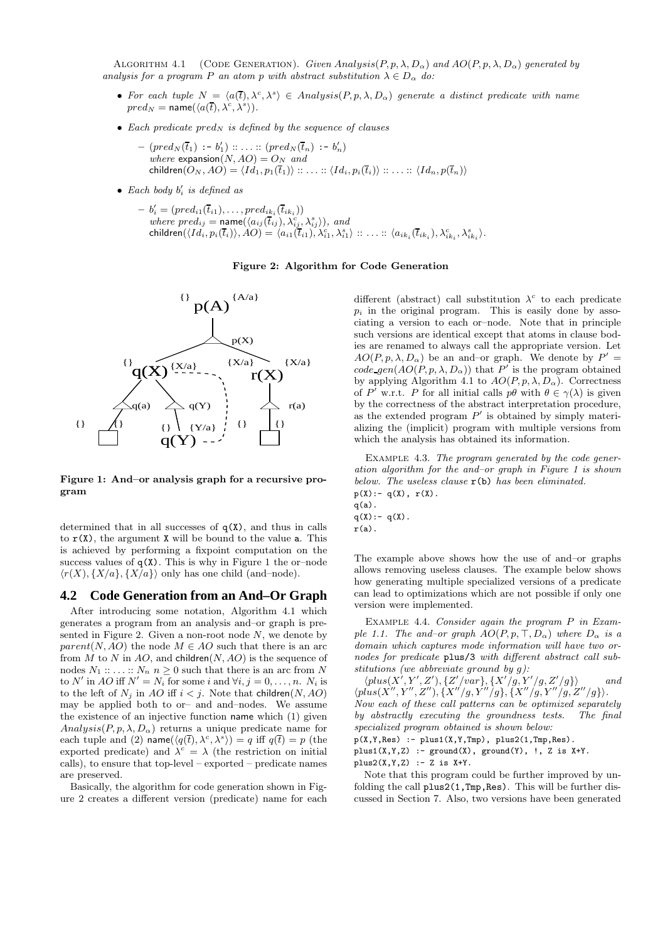ALGORITHM 4.1 (CODE GENERATION). Given Analysis(P, p,  $\lambda$ ,  $D_{\alpha}$ ) and  $AO(P, p, \lambda, D_{\alpha})$  generated by analysis for a program P an atom p with abstract substitution  $\lambda \in D_{\alpha}$  do:

- For each tuple  $N = \langle a(\bar{t}), \lambda^c, \lambda^s \rangle \in Analysis(P, p, \lambda, D_\alpha)$  generate a distinct predicate with name  $pred_N = \mathsf{name}(\langle a(\overline{t}), \lambda^c, \lambda^s \rangle).$
- Each predicate  $pred_N$  is defined by the sequence of clauses
	- $(pred_N(\bar{t}_1) :- b'_1) :: ... :: (pred_N(\bar{t}_n) :- b'_n)$ where expansion $(N, AO) = O_N$  and  $\mathsf{children}(O_N, AO) = \langle Id_1, p_1(\overline{t}_1)\rangle :: \ldots :: \langle Id_i, p_i(\overline{t}_i)\rangle :: \ldots :: \langle Id_n, p(\overline{t}_n)\rangle$
- Each body  $b_i$  is defined as
	- $-b_i' = (pred_{i1}(\overline{t}_{i1}), \ldots, pred_{ik_i}(\overline{t}_{ik_i}))$ where  $pred_{ij} = \textsf{name}(\langle a_{ij}(\overline{t}_{ij}), \lambda_{ij}^c, \lambda_{ij}^s \rangle), \text{ and}$  $\mathsf{children}(\langle Id_i, p_i(\overline{t}_i)\rangle, AO) = \langle a_{i1}(\overline{t}_{i1}), \lambda^c_{i1}, \lambda^s_{i1}\rangle::\ldots::\langle a_{ik_i}(\overline{t}_{ik_i}), \lambda^c_{ik_i}, \lambda^s_{ik_i}\rangle.$

#### Figure 2: Algorithm for Code Generation



Figure 1: And–or analysis graph for a recursive program

determined that in all successes of  $q(X)$ , and thus in calls to  $r(X)$ , the argument X will be bound to the value a. This is achieved by performing a fixpoint computation on the success values of  $q(X)$ . This is why in Figure 1 the or-node  $\langle r(X), \{X/a\}, \{X/a\} \rangle$  only has one child (and–node).

### **4.2 Code Generation from an And–Or Graph**

After introducing some notation, Algorithm 4.1 which generates a program from an analysis and–or graph is presented in Figure 2. Given a non-root node  $N$ , we denote by  $parent(N, AO)$  the node  $M \in AO$  such that there is an arc from  $M$  to  $N$  in  $AO$ , and children $(N, AO)$  is the sequence of nodes  $N_1 :: \ldots :: N_n$   $n \geq 0$  such that there is an arc from N to N' in AO iff  $N' = N_i$  for some i and  $\forall i, j = 0, \ldots, n$ . N<sub>i</sub> is to the left of  $N_i$  in AO iff  $i < j$ . Note that children $(N, AO)$ may be applied both to or– and and–nodes. We assume the existence of an injective function name which (1) given Analysis( $P, p, \lambda, D_{\alpha}$ ) returns a unique predicate name for each tuple and (2)  $\mathsf{name}(\langle q(\bar{t}), \lambda^c, \lambda^s \rangle) = q$  iff  $q(\bar{t}) = p$  (the exported predicate) and  $\lambda^c = \lambda$  (the restriction on initial calls), to ensure that top-level – exported – predicate names are preserved.

Basically, the algorithm for code generation shown in Figure 2 creates a different version (predicate) name for each

different (abstract) call substitution  $\lambda^c$  to each predicate  $p_i$  in the original program. This is easily done by associating a version to each or–node. Note that in principle such versions are identical except that atoms in clause bodies are renamed to always call the appropriate version. Let  $AO(P, p, \lambda, D_{\alpha})$  be an and-or graph. We denote by  $P' =$  $code\_gen(AO(P, p, \lambda, D_{\alpha}))$  that P' is the program obtained by applying Algorithm 4.1 to  $AO(P, p, \lambda, D_\alpha)$ . Correctness of P' w.r.t. P for all initial calls  $p\theta$  with  $\theta \in \gamma(\lambda)$  is given by the correctness of the abstract interpretation procedure, as the extended program  $P'$  is obtained by simply materializing the (implicit) program with multiple versions from which the analysis has obtained its information.

EXAMPLE 4.3. The program generated by the code generation algorithm for the and–or graph in Figure 1 is shown below. The useless clause  $r(b)$  has been eliminated.  $p(X) := q(X), r(X)$ .  $q(a)$ .

 $q(X) := q(X)$ .

 $r(a)$ .

The example above shows how the use of and–or graphs allows removing useless clauses. The example below shows how generating multiple specialized versions of a predicate can lead to optimizations which are not possible if only one version were implemented.

EXAMPLE 4.4. Consider again the program  $P$  in Example 1.1. The and–or graph  $AO(P, p, \top, D_{\alpha})$  where  $D_{\alpha}$  is a domain which captures mode information will have two ornodes for predicate plus/3 with different abstract call substitutions (we abbreviate ground by g):

 $\langle plus(X',Y',Z'), \{Z'/var\}, \{X'/g, Y'/g, Z'/g\} \rangle$  and  $\langle plus(X'', Y'', Z''), \{X''/g, Y''/g\}, \{X''/g, Y''/g, Z''/g\} \rangle.$ Now each of these call patterns can be optimized separately by abstractly executing the groundness tests. The final specialized program obtained is shown below:  $p(X, Y, Res)$  :-  $plus1(X, Y, Tmp)$ ,  $plus2(1, Tmp, Res)$ .

 $plus1(X,Y,Z)$  :- ground(X), ground(Y), !, Z is X+Y.  $plus2(X,Y,Z)$  :- Z is X+Y.

Note that this program could be further improved by unfolding the call plus2(1,Tmp,Res). This will be further discussed in Section 7. Also, two versions have been generated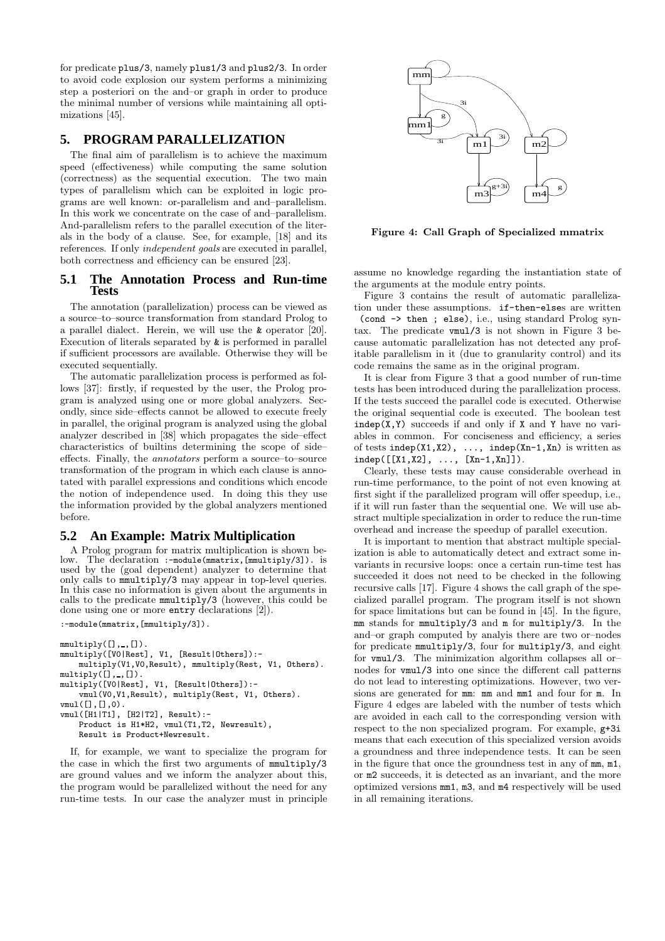for predicate plus/3, namely plus1/3 and plus2/3. In order to avoid code explosion our system performs a minimizing step a posteriori on the and–or graph in order to produce the minimal number of versions while maintaining all optimizations [45].

# **5. PROGRAM PARALLELIZATION**

The final aim of parallelism is to achieve the maximum speed (effectiveness) while computing the same solution (correctness) as the sequential execution. The two main types of parallelism which can be exploited in logic programs are well known: or-parallelism and and–parallelism. In this work we concentrate on the case of and–parallelism. And-parallelism refers to the parallel execution of the literals in the body of a clause. See, for example, [18] and its references. If only independent goals are executed in parallel, both correctness and efficiency can be ensured [23].

## **5.1 The Annotation Process and Run-time Tests**

The annotation (parallelization) process can be viewed as a source–to–source transformation from standard Prolog to a parallel dialect. Herein, we will use the & operator [20]. Execution of literals separated by & is performed in parallel if sufficient processors are available. Otherwise they will be executed sequentially.

The automatic parallelization process is performed as follows [37]: firstly, if requested by the user, the Prolog program is analyzed using one or more global analyzers. Secondly, since side–effects cannot be allowed to execute freely in parallel, the original program is analyzed using the global analyzer described in [38] which propagates the side–effect characteristics of builtins determining the scope of side– effects. Finally, the annotators perform a source–to–source transformation of the program in which each clause is annotated with parallel expressions and conditions which encode the notion of independence used. In doing this they use the information provided by the global analyzers mentioned before.

# **5.2 An Example: Matrix Multiplication**

A Prolog program for matrix multiplication is shown be-<br>low The declaration:-module(mmatrix,[mmultiply/3]), is The declaration :-module(mmatrix, $[mmultiply/3]$ ). is used by the (goal dependent) analyzer to determine that only calls to mmultiply/3 may appear in top-level queries. In this case no information is given about the arguments in calls to the predicate mmultiply/3 (however, this could be done using one or more entry declarations [2]).

:-module(mmatrix,[mmultiply/3]).

```
mmultiply([],_,[]).mmultiply([V0|Rest], V1, [Result|Others]):-
   multiply(V1,V0,Result), mmultiply(Rest, V1, Others).
multiply([],_,[]).multiply([V0|Rest], V1, [Result|Others]):-
   vmul(V0,V1,Result), multiply(Rest, V1, Others).
vmul([],[],0).
vmul([H1|T1], [H2|T2], Result):-
   Product is H1*H2, vmul(T1,T2, Newresult),
   Result is Product+Newresult.
```
If, for example, we want to specialize the program for the case in which the first two arguments of mmultiply/3 are ground values and we inform the analyzer about this, the program would be parallelized without the need for any run-time tests. In our case the analyzer must in principle



Figure 4: Call Graph of Specialized mmatrix

assume no knowledge regarding the instantiation state of the arguments at the module entry points.

Figure 3 contains the result of automatic parallelization under these assumptions. if-then-elses are written

(cond -> then ; else), i.e., using standard Prolog syntax. The predicate vmul/3 is not shown in Figure 3 because automatic parallelization has not detected any profitable parallelism in it (due to granularity control) and its code remains the same as in the original program.

It is clear from Figure 3 that a good number of run-time tests has been introduced during the parallelization process. If the tests succeed the parallel code is executed. Otherwise the original sequential code is executed. The boolean test  $indep(X, Y)$  succeeds if and only if X and Y have no variables in common. For conciseness and efficiency, a series of tests indep(X1,X2),  $\dots$ , indep(Xn-1,Xn) is written as  $indep([X1,X2], ..., [Xn-1,Xn]]).$ 

Clearly, these tests may cause considerable overhead in run-time performance, to the point of not even knowing at first sight if the parallelized program will offer speedup, i.e., if it will run faster than the sequential one. We will use abstract multiple specialization in order to reduce the run-time overhead and increase the speedup of parallel execution.

It is important to mention that abstract multiple specialization is able to automatically detect and extract some invariants in recursive loops: once a certain run-time test has succeeded it does not need to be checked in the following recursive calls [17]. Figure 4 shows the call graph of the specialized parallel program. The program itself is not shown for space limitations but can be found in [45]. In the figure, mm stands for mmultiply/3 and m for multiply/3. In the and–or graph computed by analyis there are two or–nodes for predicate mmultiply/3, four for multiply/3, and eight for vmul/3. The minimization algorithm collapses all or– nodes for vmul/3 into one since the different call patterns do not lead to interesting optimizations. However, two versions are generated for mm: mm and mm1 and four for m. In Figure 4 edges are labeled with the number of tests which are avoided in each call to the corresponding version with respect to the non specialized program. For example, g+3i means that each execution of this specialized version avoids a groundness and three independence tests. It can be seen in the figure that once the groundness test in any of mm, m1, or m2 succeeds, it is detected as an invariant, and the more optimized versions mm1, m3, and m4 respectively will be used in all remaining iterations.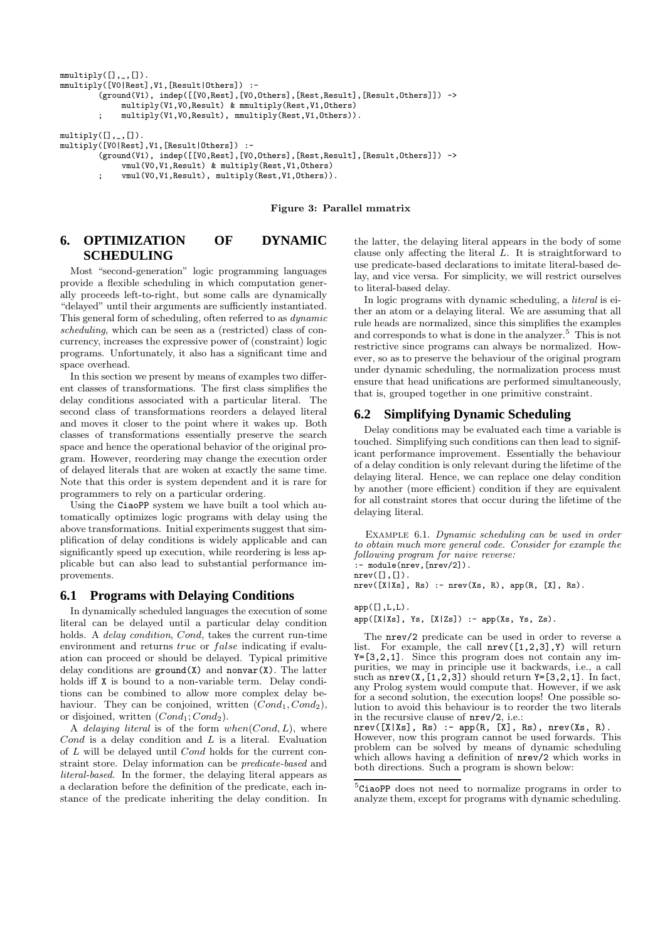```
m\nu\text{1tiply}([],\_,[]).mmultiply([V0|Rest],V1,[Result|Others]) :-
        (ground(V1), indep([[V0,Rest],[V0,Others],[Rest,Result],[Result,Others]]) ->
             multiply(V1,V0,Result) & mmultiply(Rest,V1,Others)
             ; multiply(V1,V0,Result), mmultiply(Rest,V1,Others)).
multiply([],_],[]).multiply([V0|Rest],V1,[Result|Others]) :-
        (ground(V1), indep([[V0,Rest],[V0,Others],[Rest,Result],[Result,Others]]) ->
             vmul(V0,V1,Result) & multiply(Rest,V1,Others)
             ; vmul(V0,V1,Result), multiply(Rest,V1,Others)).
```
Figure 3: Parallel mmatrix

# **6. OPTIMIZATION OF DYNAMIC SCHEDULING**

Most "second-generation" logic programming languages provide a flexible scheduling in which computation generally proceeds left-to-right, but some calls are dynamically "delayed" until their arguments are sufficiently instantiated. This general form of scheduling, often referred to as dynamic scheduling, which can be seen as a (restricted) class of concurrency, increases the expressive power of (constraint) logic programs. Unfortunately, it also has a significant time and space overhead.

In this section we present by means of examples two different classes of transformations. The first class simplifies the delay conditions associated with a particular literal. The second class of transformations reorders a delayed literal and moves it closer to the point where it wakes up. Both classes of transformations essentially preserve the search space and hence the operational behavior of the original program. However, reordering may change the execution order of delayed literals that are woken at exactly the same time. Note that this order is system dependent and it is rare for programmers to rely on a particular ordering.

Using the CiaoPP system we have built a tool which automatically optimizes logic programs with delay using the above transformations. Initial experiments suggest that simplification of delay conditions is widely applicable and can significantly speed up execution, while reordering is less applicable but can also lead to substantial performance improvements.

### **6.1 Programs with Delaying Conditions**

In dynamically scheduled languages the execution of some literal can be delayed until a particular delay condition holds. A delay condition, Cond, takes the current run-time environment and returns *true* or *false* indicating if evaluation can proceed or should be delayed. Typical primitive delay conditions are  $ground(X)$  and nonvar $(X)$ . The latter holds iff X is bound to a non-variable term. Delay conditions can be combined to allow more complex delay behaviour. They can be conjoined, written  $(Cond_1, Cond_2)$ , or disjoined, written  $(Cond_1; Cond_2)$ .

A delaying literal is of the form  $when (Cond, L)$ , where  $Cond$  is a delay condition and  $L$  is a literal. Evaluation of L will be delayed until Cond holds for the current constraint store. Delay information can be predicate-based and literal-based. In the former, the delaying literal appears as a declaration before the definition of the predicate, each instance of the predicate inheriting the delay condition. In the latter, the delaying literal appears in the body of some clause only affecting the literal L. It is straightforward to use predicate-based declarations to imitate literal-based delay, and vice versa. For simplicity, we will restrict ourselves to literal-based delay.

In logic programs with dynamic scheduling, a literal is either an atom or a delaying literal. We are assuming that all rule heads are normalized, since this simplifies the examples and corresponds to what is done in the analyzer.<sup>5</sup> This is not restrictive since programs can always be normalized. However, so as to preserve the behaviour of the original program under dynamic scheduling, the normalization process must ensure that head unifications are performed simultaneously, that is, grouped together in one primitive constraint.

# **6.2 Simplifying Dynamic Scheduling**

Delay conditions may be evaluated each time a variable is touched. Simplifying such conditions can then lead to significant performance improvement. Essentially the behaviour of a delay condition is only relevant during the lifetime of the delaying literal. Hence, we can replace one delay condition by another (more efficient) condition if they are equivalent for all constraint stores that occur during the lifetime of the delaying literal.

Example 6.1. Dynamic scheduling can be used in order to obtain much more general code. Consider for example the following program for naive reverse: :- module(nrev,[nrev/2]).

 $nrev([1,1]).$  $nrev([X|Xs], Rs)$  :-  $nrev(Xs, R)$ ,  $app(R, [X], Rs)$ .

app([],L,L).  $app([X|Xs], Ys, [X|Zs])$  :-  $app(Xs, Ys, Zs)$ .

The nrev/2 predicate can be used in order to reverse a list. For example, the call nrev([1,2,3],Y) will return Y=[3,2,1]. Since this program does not contain any impurities, we may in principle use it backwards, i.e., a call such as  $\text{nrev}(X,[1,2,3])$  should return  $Y=[3,2,1]$ . In fact, any Prolog system would compute that. However, if we ask for a second solution, the execution loops! One possible solution to avoid this behaviour is to reorder the two literals in the recursive clause of nrev/2, i.e.:

 $nrev([X|Xs], Rs) := app(R, [X], Rs), nrev(Xs, R).$ However, now this program cannot be used forwards. This problem can be solved by means of dynamic scheduling which allows having a definition of nrev/2 which works in both directions. Such a program is shown below:

5 CiaoPP does not need to normalize programs in order to analyze them, except for programs with dynamic scheduling.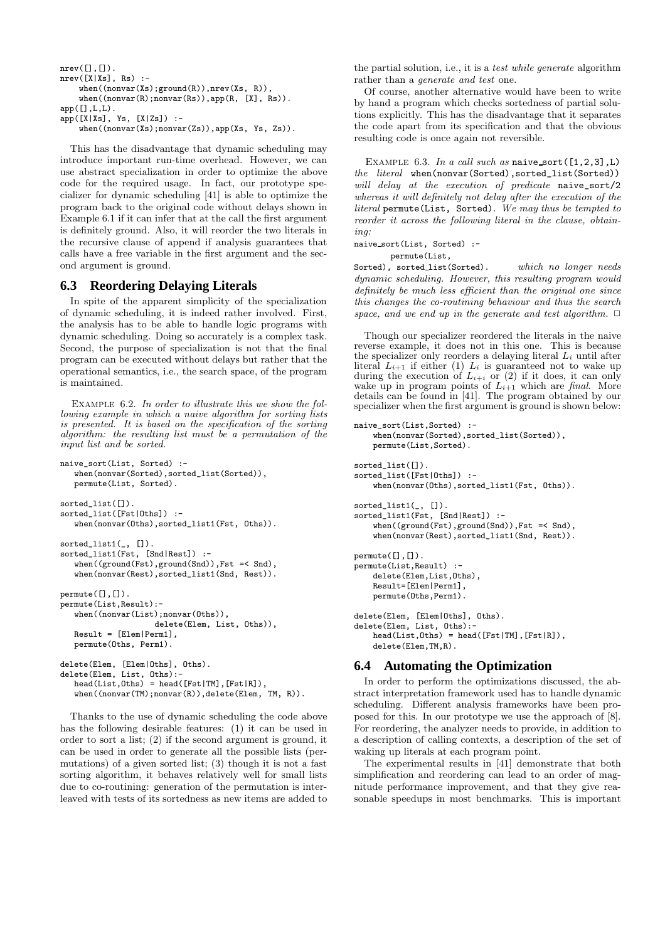```
nrev([],[]).
nrev([X|Xs], Rs) :-
    when((nonvar(Xs);ground(R)),nrev(Xs, R)),
    when((nonvar(R);nonvar(Rs)),app(R, [X], Rs)).app([], L, L).
app([X|Xs], Ys, [X|Zs]) :-
    when((nonvar(Xs);nonvar(Zs)),app(Xs, Ys, Zs)).
```
This has the disadvantage that dynamic scheduling may introduce important run-time overhead. However, we can use abstract specialization in order to optimize the above code for the required usage. In fact, our prototype specializer for dynamic scheduling [41] is able to optimize the program back to the original code without delays shown in Example 6.1 if it can infer that at the call the first argument is definitely ground. Also, it will reorder the two literals in the recursive clause of append if analysis guarantees that calls have a free variable in the first argument and the second argument is ground.

### **6.3 Reordering Delaying Literals**

In spite of the apparent simplicity of the specialization of dynamic scheduling, it is indeed rather involved. First, the analysis has to be able to handle logic programs with dynamic scheduling. Doing so accurately is a complex task. Second, the purpose of specialization is not that the final program can be executed without delays but rather that the operational semantics, i.e., the search space, of the program is maintained.

EXAMPLE 6.2. In order to illustrate this we show the following example in which a naive algorithm for sorting lists is presented. It is based on the specification of the sorting algorithm: the resulting list must be a permutation of the input list and be sorted.

```
naive_sort(List, Sorted) :-
  when(nonvar(Sorted),sorted_list(Sorted)),
  permute(List, Sorted).
sorted_list([1]).
sorted_list([Fst|Oths]) :-
   when(nonvar(Oths),sorted_list1(Fst, Oths)).
sorted_list1(_, []).
sorted_list1(Fst, [Snd|Rest]) :-
   when((ground(Fst),ground(Snd)),Fst =< Snd),
   when(nonvar(Rest),sorted_list1(Snd, Rest)).
permute([],[]).
permute(List,Result):-
  when((nonvar(List);nonvar(Oths)),
                    delete(Elem, List, Oths)),
  Result = [Elem|Perm1],
  permute(Oths, Perm1).
delete(Elem, [Elem|Oths], Oths).
delete(Elem, List, Oths):-
  head(List,0ths) = head([Fst|TM], [Fst|R]),
```
 $\mathtt{when}((\mathtt{nonvar}(\mathtt{TM});\mathtt{nonvar}(\mathtt{R})),\mathtt{delete}(\mathtt{Elem},~\mathtt{TM},~\mathtt{R})).$ Thanks to the use of dynamic scheduling the code above has the following desirable features: (1) it can be used in order to sort a list; (2) if the second argument is ground, it can be used in order to generate all the possible lists (permutations) of a given sorted list; (3) though it is not a fast sorting algorithm, it behaves relatively well for small lists due to co-routining: generation of the permutation is interleaved with tests of its sortedness as new items are added to

the partial solution, i.e., it is a test while generate algorithm rather than a generate and test one.

Of course, another alternative would have been to write by hand a program which checks sortedness of partial solutions explicitly. This has the disadvantage that it separates the code apart from its specification and that the obvious resulting code is once again not reversible.

EXAMPLE 6.3. In a call such as naive sort  $(1,2,3]$ , L) the literal when(nonvar(Sorted), sorted\_list(Sorted)) will delay at the execution of predicate naive\_sort/2 whereas it will definitely not delay after the execution of the literal permute(List, Sorted). We may thus be tempted to reorder it across the following literal in the clause, obtaining:

```
naive sort(List, Sorted) :-
```
permute(List,

Sorted), sorted\_list(Sorted). which no longer needs dynamic scheduling. However, this resulting program would definitely be much less efficient than the original one since this changes the co-routining behaviour and thus the search space, and we end up in the generate and test algorithm.  $\Box$ 

Though our specializer reordered the literals in the naive reverse example, it does not in this one. This is because the specializer only reorders a delaying literal  $L_i$  until after literal  $L_{i+1}$  if either (1)  $L_i$  is guaranteed not to wake up during the execution of  $L_{i+i}$  or (2) if it does, it can only wake up in program points of  $L_{i+1}$  which are final. More details can be found in [41]. The program obtained by our specializer when the first argument is ground is shown below:

```
naive_sort(List,Sorted) :-
    when(nonvar(Sorted),sorted_list(Sorted)),
    permute(List,Sorted).
sorted_list([]).
sorted_list([Fst|Oths]) :-
    when(nonvar(Oths),sorted_list1(Fst, Oths)).
sorted_list1(_, []).
sorted_list1(Fst, [Snd|Rest]) :-
    when((ground(Fst),ground(Snd)),Fst =< Snd),
    when(nonvar(Rest),sorted_list1(Snd, Rest)).
permute([],[]).
permute(List,Result) :-
    delete(Elem,List,Oths),
    Result=[Elem|Perm1],
    permute(Oths,Perm1).
delete(Elem, [Elem|Oths], Oths).
delete(Elem, List, Oths):-
    head(List,Oths) = head([Fst|TM],[Fst|R]),
    delete(Elem,TM,R).
```
### **6.4 Automating the Optimization**

In order to perform the optimizations discussed, the abstract interpretation framework used has to handle dynamic scheduling. Different analysis frameworks have been proposed for this. In our prototype we use the approach of [8]. For reordering, the analyzer needs to provide, in addition to a description of calling contexts, a description of the set of waking up literals at each program point.

The experimental results in [41] demonstrate that both simplification and reordering can lead to an order of magnitude performance improvement, and that they give reasonable speedups in most benchmarks. This is important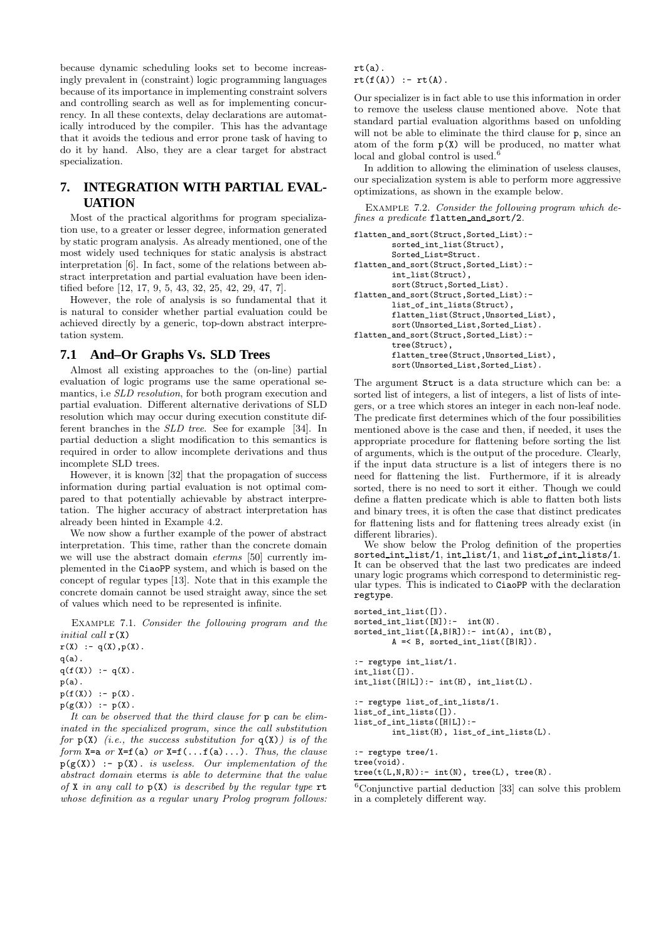because dynamic scheduling looks set to become increasingly prevalent in (constraint) logic programming languages because of its importance in implementing constraint solvers and controlling search as well as for implementing concurrency. In all these contexts, delay declarations are automatically introduced by the compiler. This has the advantage that it avoids the tedious and error prone task of having to do it by hand. Also, they are a clear target for abstract specialization.

# **7. INTEGRATION WITH PARTIAL EVAL-UATION**

Most of the practical algorithms for program specialization use, to a greater or lesser degree, information generated by static program analysis. As already mentioned, one of the most widely used techniques for static analysis is abstract interpretation [6]. In fact, some of the relations between abstract interpretation and partial evaluation have been identified before [12, 17, 9, 5, 43, 32, 25, 42, 29, 47, 7].

However, the role of analysis is so fundamental that it is natural to consider whether partial evaluation could be achieved directly by a generic, top-down abstract interpretation system.

### **7.1 And–Or Graphs Vs. SLD Trees**

Almost all existing approaches to the (on-line) partial evaluation of logic programs use the same operational semantics, i.e SLD resolution, for both program execution and partial evaluation. Different alternative derivations of SLD resolution which may occur during execution constitute different branches in the SLD tree. See for example [34]. In partial deduction a slight modification to this semantics is required in order to allow incomplete derivations and thus incomplete SLD trees.

However, it is known [32] that the propagation of success information during partial evaluation is not optimal compared to that potentially achievable by abstract interpretation. The higher accuracy of abstract interpretation has already been hinted in Example 4.2.

We now show a further example of the power of abstract interpretation. This time, rather than the concrete domain we will use the abstract domain eterms [50] currently implemented in the CiaoPP system, and which is based on the concept of regular types [13]. Note that in this example the concrete domain cannot be used straight away, since the set of values which need to be represented is infinite.

Example 7.1. Consider the following program and the initial call  $\mathbf{r}(\mathbf{X})$ 

 $r(X) := q(X), p(X)$ .  $q(a)$ .  $q(f(X))$  :-  $q(X)$ .  $p(a)$ .  $p(f(X)) := p(X)$ .  $p(g(X))$  :-  $p(X)$ .

It can be observed that the third clause for  $p$  can be eliminated in the specialized program, since the call substitution for  $p(X)$  (i.e., the success substitution for  $q(X)$ ) is of the form  $X=a$  or  $X=f(a)$  or  $X=f(\ldots f(a)\ldots)$ . Thus, the clause  $p(g(X))$  :-  $p(X)$ . is useless. Our implementation of the abstract domain eterms is able to determine that the value of  $X$  in any call to  $p(X)$  is described by the regular type  $rt$ whose definition as a regular unary Prolog program follows: rt(a).  $rt(f(A)) := rt(A)$ .

Our specializer is in fact able to use this information in order to remove the useless clause mentioned above. Note that standard partial evaluation algorithms based on unfolding will not be able to eliminate the third clause for  $p$ , since an atom of the form  $p(X)$  will be produced, no matter what local and global control is used.<sup>6</sup>

In addition to allowing the elimination of useless clauses, our specialization system is able to perform more aggressive optimizations, as shown in the example below.

EXAMPLE 7.2. Consider the following program which defines a predicate flatten and sort/2.

```
flatten_and_sort(Struct,Sorted_List):-
        sorted_int_list(Struct),
        Sorted_List=Struct.
flatten and sort(Struct,Sorted List):-
        int_list(Struct),
        sort(Struct,Sorted_List).
flatten_and_sort(Struct,Sorted_List):-
        list of int lists(Struct).
        flatten_list(Struct,Unsorted_List),
        sort(Unsorted_List,Sorted_List).
flatten_and_sort(Struct,Sorted_List):-
        tree(Struct),
        flatten_tree(Struct,Unsorted_List),
        sort(Unsorted_List,Sorted_List).
```
The argument Struct is a data structure which can be: a sorted list of integers, a list of integers, a list of lists of integers, or a tree which stores an integer in each non-leaf node. The predicate first determines which of the four possibilities mentioned above is the case and then, if needed, it uses the appropriate procedure for flattening before sorting the list of arguments, which is the output of the procedure. Clearly, if the input data structure is a list of integers there is no need for flattening the list. Furthermore, if it is already sorted, there is no need to sort it either. Though we could define a flatten predicate which is able to flatten both lists and binary trees, it is often the case that distinct predicates for flattening lists and for flattening trees already exist (in different libraries).

We show below the Prolog definition of the properties sorted int list/1, int list/1, and list of int lists/1. It can be observed that the last two predicates are indeed unary logic programs which correspond to deterministic regular types. This is indicated to CiaoPP with the declaration regtype.

```
sorted_int_list([]).
sorted_int_list([N]):-_int(N).
sorted int list([A,B|R]):- int(A), int(B),A =< B, sorted_int_list([B|R]).
:- regtype int_list/1.
int list(\lceil]).
int\_list([H|L]):- int(H), int\_list(L).
:- regtype list_of_int_lists/1.
list_of_int_lists([]).
list_of_int_lists([H|L]):-
        int_list(H), list_of_int_lists(L).
:- regtype tree/1.
tree(void).
tree(t(L,N,R)):- int(N), tree(L), tree(R).
```
 ${}^{6}$ Conjunctive partial deduction [33] can solve this problem in a completely different way.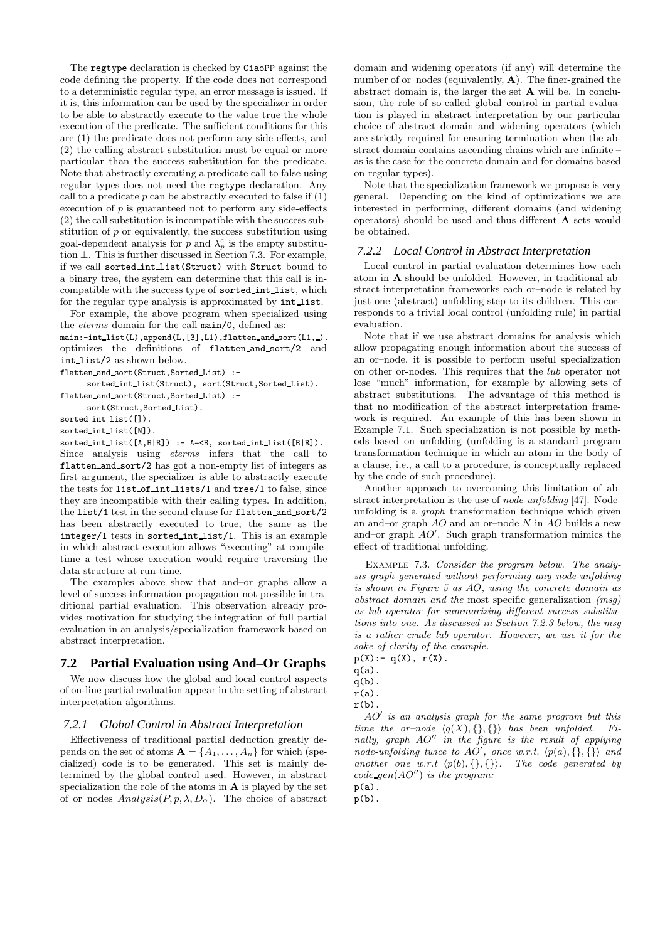The regtype declaration is checked by CiaoPP against the code defining the property. If the code does not correspond to a deterministic regular type, an error message is issued. If it is, this information can be used by the specializer in order to be able to abstractly execute to the value true the whole execution of the predicate. The sufficient conditions for this are (1) the predicate does not perform any side-effects, and (2) the calling abstract substitution must be equal or more particular than the success substitution for the predicate. Note that abstractly executing a predicate call to false using regular types does not need the regtype declaration. Any call to a predicate  $p$  can be abstractly executed to false if  $(1)$ execution of  $p$  is guaranteed not to perform any side-effects (2) the call substitution is incompatible with the success substitution of p or equivalently, the success substitution using goal-dependent analysis for p and  $\lambda_p^c$  is the empty substitution ⊥. This is further discussed in Section 7.3. For example, if we call sorted int list(Struct) with Struct bound to a binary tree, the system can determine that this call is incompatible with the success type of sorted int list, which for the regular type analysis is approximated by int list.

For example, the above program when specialized using the eterms domain for the call main/0, defined as: main:-int list(L),append(L,[3],L1),flatten and sort(L1, ). optimizes the definitions of flatten and sort/2 and

int list/2 as shown below. flatten and sort(Struct,Sorted List) :-

sorted int list(Struct), sort(Struct,Sorted List).

flatten\_and\_sort(Struct,Sorted\_List) :-

sort(Struct,Sorted List).

sorted\_int\_list([]).

sorted\_int\_list([N]).

sorted\_int\_list( $[A, B | R]$ ) :- A=<B, sorted\_int\_list( $[B | R]$ ).

Since analysis using eterms infers that the call to flatten and sort/2 has got a non-empty list of integers as first argument, the specializer is able to abstractly execute the tests for list of int lists/1 and tree/1 to false, since they are incompatible with their calling types. In addition, the list/1 test in the second clause for flatten and sort/2 has been abstractly executed to true, the same as the integer/1 tests in sorted int list/1. This is an example in which abstract execution allows "executing" at compiletime a test whose execution would require traversing the data structure at run-time.

The examples above show that and–or graphs allow a level of success information propagation not possible in traditional partial evaluation. This observation already provides motivation for studying the integration of full partial evaluation in an analysis/specialization framework based on abstract interpretation.

# **7.2 Partial Evaluation using And–Or Graphs**

We now discuss how the global and local control aspects of on-line partial evaluation appear in the setting of abstract interpretation algorithms.

### *7.2.1 Global Control in Abstract Interpretation*

Effectiveness of traditional partial deduction greatly depends on the set of atoms  $\mathbf{A} = \{A_1, \ldots, A_n\}$  for which (specialized) code is to be generated. This set is mainly determined by the global control used. However, in abstract specialization the role of the atoms in  $A$  is played by the set of or–nodes  $Analysis(P, p, \lambda, D_{\alpha})$ . The choice of abstract

domain and widening operators (if any) will determine the number of or–nodes (equivalently,  $\bf{A}$ ). The finer-grained the abstract domain is, the larger the set A will be. In conclusion, the role of so-called global control in partial evaluation is played in abstract interpretation by our particular choice of abstract domain and widening operators (which are strictly required for ensuring termination when the abstract domain contains ascending chains which are infinite – as is the case for the concrete domain and for domains based on regular types).

Note that the specialization framework we propose is very general. Depending on the kind of optimizations we are interested in performing, different domains (and widening operators) should be used and thus different A sets would be obtained.

### *7.2.2 Local Control in Abstract Interpretation*

Local control in partial evaluation determines how each atom in A should be unfolded. However, in traditional abstract interpretation frameworks each or–node is related by just one (abstract) unfolding step to its children. This corresponds to a trivial local control (unfolding rule) in partial evaluation.

Note that if we use abstract domains for analysis which allow propagating enough information about the success of an or–node, it is possible to perform useful specialization on other or-nodes. This requires that the lub operator not lose "much" information, for example by allowing sets of abstract substitutions. The advantage of this method is that no modification of the abstract interpretation framework is required. An example of this has been shown in Example 7.1. Such specialization is not possible by methods based on unfolding (unfolding is a standard program transformation technique in which an atom in the body of a clause, i.e., a call to a procedure, is conceptually replaced by the code of such procedure).

Another approach to overcoming this limitation of abstract interpretation is the use of node-unfolding [47]. Nodeunfolding is a *graph* transformation technique which given an and–or graph  $AO$  and an or–node N in  $AO$  builds a new and–or graph  $AO'$ . Such graph transformation mimics the effect of traditional unfolding.

Example 7.3. Consider the program below. The analysis graph generated without performing any node-unfolding is shown in Figure 5 as AO, using the concrete domain as abstract domain and the most specific generalization (msg) as lub operator for summarizing different success substitutions into one. As discussed in Section 7.2.3 below, the msg is a rather crude lub operator. However, we use it for the sake of clarity of the example.

 $AO'$  is an analysis graph for the same program but this time the or-node  $\langle q(X), \{\}, \{\} \rangle$  has been unfolded. Finally, graph  $AO''$  in the figure is the result of applying node-unfolding twice to  $AO'$ , once w.r.t.  $\langle p(a), \{\}, \{\} \rangle$  and another one w.r.t  $\langle p(b), \{\}, \{\}\rangle$ . The code generated by  $code\_gen(AO'')$  is the program:

 $p(a)$ .  $p(b)$ .

 $p(X) := q(X), r(X).$ 

 $q(a)$ .

 $q(b)$ .

 $r(a)$ .  $r(b)$ .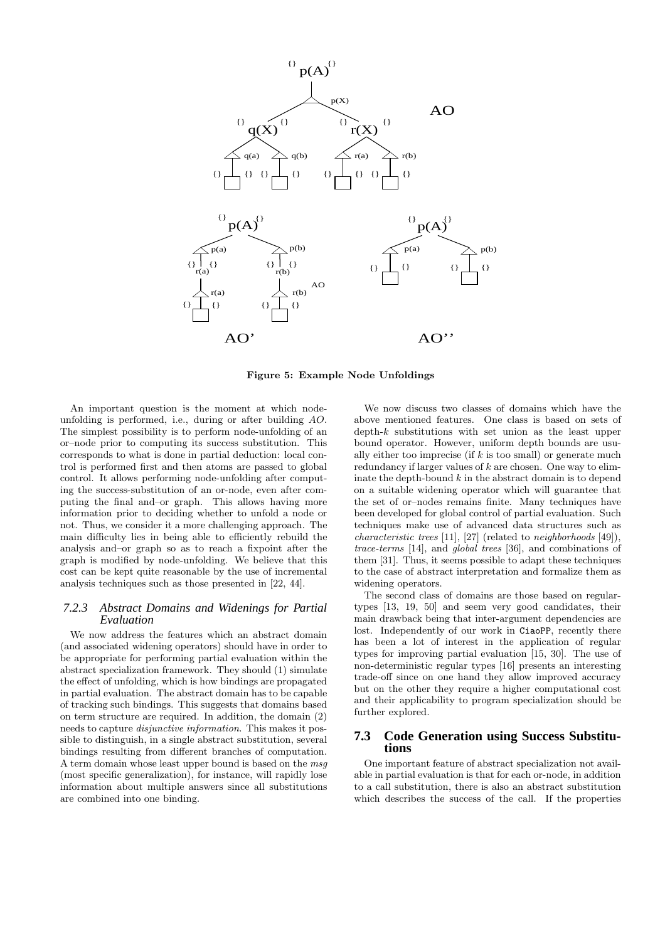

Figure 5: Example Node Unfoldings

An important question is the moment at which nodeunfolding is performed, i.e., during or after building AO. The simplest possibility is to perform node-unfolding of an or–node prior to computing its success substitution. This corresponds to what is done in partial deduction: local control is performed first and then atoms are passed to global control. It allows performing node-unfolding after computing the success-substitution of an or-node, even after computing the final and–or graph. This allows having more information prior to deciding whether to unfold a node or not. Thus, we consider it a more challenging approach. The main difficulty lies in being able to efficiently rebuild the analysis and–or graph so as to reach a fixpoint after the graph is modified by node-unfolding. We believe that this cost can be kept quite reasonable by the use of incremental analysis techniques such as those presented in [22, 44].

#### *7.2.3 Abstract Domains and Widenings for Partial Evaluation*

We now address the features which an abstract domain (and associated widening operators) should have in order to be appropriate for performing partial evaluation within the abstract specialization framework. They should (1) simulate the effect of unfolding, which is how bindings are propagated in partial evaluation. The abstract domain has to be capable of tracking such bindings. This suggests that domains based on term structure are required. In addition, the domain (2) needs to capture disjunctive information. This makes it possible to distinguish, in a single abstract substitution, several bindings resulting from different branches of computation. A term domain whose least upper bound is based on the msg (most specific generalization), for instance, will rapidly lose information about multiple answers since all substitutions are combined into one binding.

We now discuss two classes of domains which have the above mentioned features. One class is based on sets of  $depth-k$  substitutions with set union as the least upper bound operator. However, uniform depth bounds are usually either too imprecise (if  $k$  is too small) or generate much redundancy if larger values of  $k$  are chosen. One way to eliminate the depth-bound  $k$  in the abstract domain is to depend on a suitable widening operator which will guarantee that the set of or–nodes remains finite. Many techniques have been developed for global control of partial evaluation. Such techniques make use of advanced data structures such as characteristic trees [11], [27] (related to neighborhoods [49]), trace-terms [14], and global trees [36], and combinations of them [31]. Thus, it seems possible to adapt these techniques to the case of abstract interpretation and formalize them as widening operators.

The second class of domains are those based on regulartypes [13, 19, 50] and seem very good candidates, their main drawback being that inter-argument dependencies are lost. Independently of our work in CiaoPP, recently there has been a lot of interest in the application of regular types for improving partial evaluation [15, 30]. The use of non-deterministic regular types [16] presents an interesting trade-off since on one hand they allow improved accuracy but on the other they require a higher computational cost and their applicability to program specialization should be further explored.

### **7.3 Code Generation using Success Substitutions**

One important feature of abstract specialization not available in partial evaluation is that for each or-node, in addition to a call substitution, there is also an abstract substitution which describes the success of the call. If the properties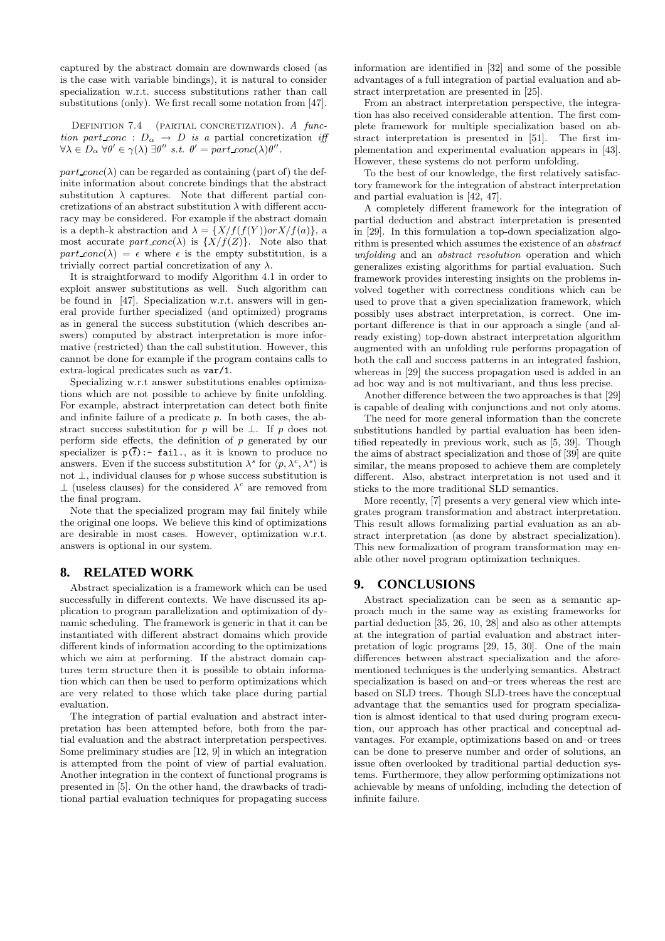captured by the abstract domain are downwards closed (as is the case with variable bindings), it is natural to consider specialization w.r.t. success substitutions rather than call substitutions (only). We first recall some notation from [47].

DEFINITION 7.4 (PARTIAL CONCRETIZATION). A function part conc :  $D_{\alpha} \rightarrow D$  is a partial concretization iff  $\forall \lambda \in D_{\alpha} \ \forall \theta' \in \gamma(\lambda) \ \exists \theta'' \ s.t. \ \theta' = part\_{conc}(\lambda)\theta''.$ 

 $part\_{conc}(\lambda)$  can be regarded as containing (part of) the definite information about concrete bindings that the abstract substitution  $\lambda$  captures. Note that different partial concretizations of an abstract substitution  $\lambda$  with different accuracy may be considered. For example if the abstract domain is a depth-k abstraction and  $\lambda = \{X/f(f(Y))\text{ or } X/f(a)\}\text{, a}$ most accurate part conc( $\lambda$ ) is  $\{X/f(Z)\}$ . Note also that  $part\_{conc}(\lambda) = \epsilon$  where  $\epsilon$  is the empty substitution, is a trivially correct partial concretization of any  $\lambda$ .

It is straightforward to modify Algorithm 4.1 in order to exploit answer substitutions as well. Such algorithm can be found in [47]. Specialization w.r.t. answers will in general provide further specialized (and optimized) programs as in general the success substitution (which describes answers) computed by abstract interpretation is more informative (restricted) than the call substitution. However, this cannot be done for example if the program contains calls to extra-logical predicates such as var/1.

Specializing w.r.t answer substitutions enables optimizations which are not possible to achieve by finite unfolding. For example, abstract interpretation can detect both finite and infinite failure of a predicate p. In both cases, the abstract success substitution for p will be  $\bot$ . If p does not perform side effects, the definition of  $p$  generated by our specializer is  $p(\bar{t})$ :- fail., as it is known to produce no answers. Even if the success substitution  $\lambda^s$  for  $\langle p, \lambda^c, \lambda^s \rangle$  is not  $\perp$ , individual clauses for p whose success substitution is  $\perp$  (useless clauses) for the considered  $\lambda^c$  are removed from the final program.

Note that the specialized program may fail finitely while the original one loops. We believe this kind of optimizations are desirable in most cases. However, optimization w.r.t. answers is optional in our system.

# **8. RELATED WORK**

Abstract specialization is a framework which can be used successfully in different contexts. We have discussed its application to program parallelization and optimization of dynamic scheduling. The framework is generic in that it can be instantiated with different abstract domains which provide different kinds of information according to the optimizations which we aim at performing. If the abstract domain captures term structure then it is possible to obtain information which can then be used to perform optimizations which are very related to those which take place during partial evaluation.

The integration of partial evaluation and abstract interpretation has been attempted before, both from the partial evaluation and the abstract interpretation perspectives. Some preliminary studies are [12, 9] in which an integration is attempted from the point of view of partial evaluation. Another integration in the context of functional programs is presented in [5]. On the other hand, the drawbacks of traditional partial evaluation techniques for propagating success information are identified in [32] and some of the possible advantages of a full integration of partial evaluation and abstract interpretation are presented in [25].

From an abstract interpretation perspective, the integration has also received considerable attention. The first complete framework for multiple specialization based on abstract interpretation is presented in [51]. The first implementation and experimental evaluation appears in [43]. However, these systems do not perform unfolding.

To the best of our knowledge, the first relatively satisfactory framework for the integration of abstract interpretation and partial evaluation is [42, 47].

A completely different framework for the integration of partial deduction and abstract interpretation is presented in [29]. In this formulation a top-down specialization algorithm is presented which assumes the existence of an abstract unfolding and an abstract resolution operation and which generalizes existing algorithms for partial evaluation. Such framework provides interesting insights on the problems involved together with correctness conditions which can be used to prove that a given specialization framework, which possibly uses abstract interpretation, is correct. One important difference is that in our approach a single (and already existing) top-down abstract interpretation algorithm augmented with an unfolding rule performs propagation of both the call and success patterns in an integrated fashion, whereas in [29] the success propagation used is added in an ad hoc way and is not multivariant, and thus less precise.

Another difference between the two approaches is that [29] is capable of dealing with conjunctions and not only atoms.

The need for more general information than the concrete substitutions handled by partial evaluation has been identified repeatedly in previous work, such as [5, 39]. Though the aims of abstract specialization and those of [39] are quite similar, the means proposed to achieve them are completely different. Also, abstract interpretation is not used and it sticks to the more traditional SLD semantics.

More recently, [7] presents a very general view which integrates program transformation and abstract interpretation. This result allows formalizing partial evaluation as an abstract interpretation (as done by abstract specialization). This new formalization of program transformation may enable other novel program optimization techniques.

### **9. CONCLUSIONS**

Abstract specialization can be seen as a semantic approach much in the same way as existing frameworks for partial deduction [35, 26, 10, 28] and also as other attempts at the integration of partial evaluation and abstract interpretation of logic programs [29, 15, 30]. One of the main differences between abstract specialization and the aforementioned techniques is the underlying semantics. Abstract specialization is based on and–or trees whereas the rest are based on SLD trees. Though SLD-trees have the conceptual advantage that the semantics used for program specialization is almost identical to that used during program execution, our approach has other practical and conceptual advantages. For example, optimizations based on and–or trees can be done to preserve number and order of solutions, an issue often overlooked by traditional partial deduction systems. Furthermore, they allow performing optimizations not achievable by means of unfolding, including the detection of infinite failure.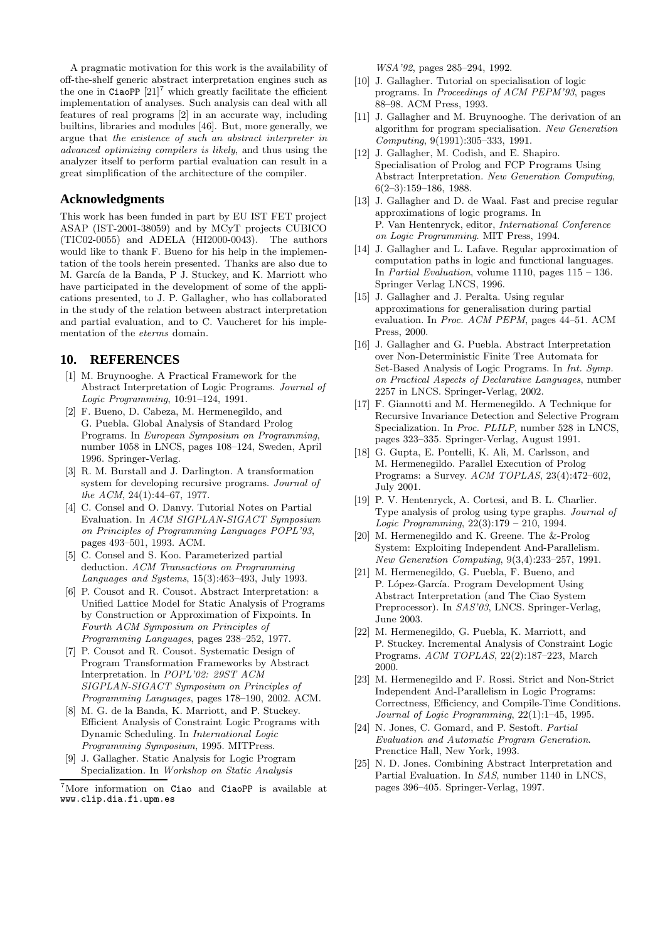A pragmatic motivation for this work is the availability of off-the-shelf generic abstract interpretation engines such as the one in  $\text{CiaoPP } [21]$ <sup>7</sup> which greatly facilitate the efficient implementation of analyses. Such analysis can deal with all features of real programs [2] in an accurate way, including builtins, libraries and modules [46]. But, more generally, we argue that the existence of such an abstract interpreter in advanced optimizing compilers is likely, and thus using the analyzer itself to perform partial evaluation can result in a great simplification of the architecture of the compiler.

#### **Acknowledgments**

This work has been funded in part by EU IST FET project ASAP (IST-2001-38059) and by MCyT projects CUBICO (TIC02-0055) and ADELA (HI2000-0043). The authors would like to thank F. Bueno for his help in the implementation of the tools herein presented. Thanks are also due to M. García de la Banda, P J. Stuckey, and K. Marriott who have participated in the development of some of the applications presented, to J. P. Gallagher, who has collaborated in the study of the relation between abstract interpretation and partial evaluation, and to C. Vaucheret for his implementation of the eterms domain.

### **10. REFERENCES**

- [1] M. Bruynooghe. A Practical Framework for the Abstract Interpretation of Logic Programs. Journal of Logic Programming, 10:91–124, 1991.
- [2] F. Bueno, D. Cabeza, M. Hermenegildo, and G. Puebla. Global Analysis of Standard Prolog Programs. In European Symposium on Programming, number 1058 in LNCS, pages 108–124, Sweden, April 1996. Springer-Verlag.
- [3] R. M. Burstall and J. Darlington. A transformation system for developing recursive programs. Journal of the ACM, 24(1):44–67, 1977.
- [4] C. Consel and O. Danvy. Tutorial Notes on Partial Evaluation. In ACM SIGPLAN-SIGACT Symposium on Principles of Programming Languages POPL'93, pages 493–501, 1993. ACM.
- [5] C. Consel and S. Koo. Parameterized partial deduction. ACM Transactions on Programming Languages and Systems, 15(3):463–493, July 1993.
- [6] P. Cousot and R. Cousot. Abstract Interpretation: a Unified Lattice Model for Static Analysis of Programs by Construction or Approximation of Fixpoints. In Fourth ACM Symposium on Principles of Programming Languages, pages 238–252, 1977.
- [7] P. Cousot and R. Cousot. Systematic Design of Program Transformation Frameworks by Abstract Interpretation. In POPL'02: 29ST ACM SIGPLAN-SIGACT Symposium on Principles of Programming Languages, pages 178–190, 2002. ACM.
- [8] M. G. de la Banda, K. Marriott, and P. Stuckey. Efficient Analysis of Constraint Logic Programs with Dynamic Scheduling. In International Logic Programming Symposium, 1995. MITPress.
- [9] J. Gallagher. Static Analysis for Logic Program Specialization. In Workshop on Static Analysis

WSA'92, pages 285–294, 1992.

- [10] J. Gallagher. Tutorial on specialisation of logic programs. In Proceedings of ACM PEPM'93, pages 88–98. ACM Press, 1993.
- [11] J. Gallagher and M. Bruynooghe. The derivation of an algorithm for program specialisation. New Generation Computing, 9(1991):305–333, 1991.
- [12] J. Gallagher, M. Codish, and E. Shapiro. Specialisation of Prolog and FCP Programs Using Abstract Interpretation. New Generation Computing, 6(2–3):159–186, 1988.
- [13] J. Gallagher and D. de Waal. Fast and precise regular approximations of logic programs. In P. Van Hentenryck, editor, International Conference on Logic Programming. MIT Press, 1994.
- [14] J. Gallagher and L. Lafave. Regular approximation of computation paths in logic and functional languages. In Partial Evaluation, volume 1110, pages  $115 - 136$ . Springer Verlag LNCS, 1996.
- [15] J. Gallagher and J. Peralta. Using regular approximations for generalisation during partial evaluation. In Proc. ACM PEPM, pages 44–51. ACM Press, 2000.
- [16] J. Gallagher and G. Puebla. Abstract Interpretation over Non-Deterministic Finite Tree Automata for Set-Based Analysis of Logic Programs. In Int. Symp. on Practical Aspects of Declarative Languages, number 2257 in LNCS. Springer-Verlag, 2002.
- [17] F. Giannotti and M. Hermenegildo. A Technique for Recursive Invariance Detection and Selective Program Specialization. In Proc. PLILP, number 528 in LNCS, pages 323–335. Springer-Verlag, August 1991.
- [18] G. Gupta, E. Pontelli, K. Ali, M. Carlsson, and M. Hermenegildo. Parallel Execution of Prolog Programs: a Survey. ACM TOPLAS, 23(4):472–602, July 2001.
- [19] P. V. Hentenryck, A. Cortesi, and B. L. Charlier. Type analysis of prolog using type graphs. Journal of Logic Programming, 22(3):179 – 210, 1994.
- [20] M. Hermenegildo and K. Greene. The &-Prolog System: Exploiting Independent And-Parallelism. New Generation Computing, 9(3,4):233–257, 1991.
- [21] M. Hermenegildo, G. Puebla, F. Bueno, and P. López-García. Program Development Using Abstract Interpretation (and The Ciao System Preprocessor). In SAS'03, LNCS. Springer-Verlag, June 2003.
- [22] M. Hermenegildo, G. Puebla, K. Marriott, and P. Stuckey. Incremental Analysis of Constraint Logic Programs. ACM TOPLAS, 22(2):187–223, March 2000.
- [23] M. Hermenegildo and F. Rossi. Strict and Non-Strict Independent And-Parallelism in Logic Programs: Correctness, Efficiency, and Compile-Time Conditions. Journal of Logic Programming, 22(1):1–45, 1995.
- [24] N. Jones, C. Gomard, and P. Sestoft. Partial Evaluation and Automatic Program Generation. Prenctice Hall, New York, 1993.
- [25] N. D. Jones. Combining Abstract Interpretation and Partial Evaluation. In SAS, number 1140 in LNCS, pages 396–405. Springer-Verlag, 1997.

<sup>7</sup>More information on Ciao and CiaoPP is available at www.clip.dia.fi.upm.es